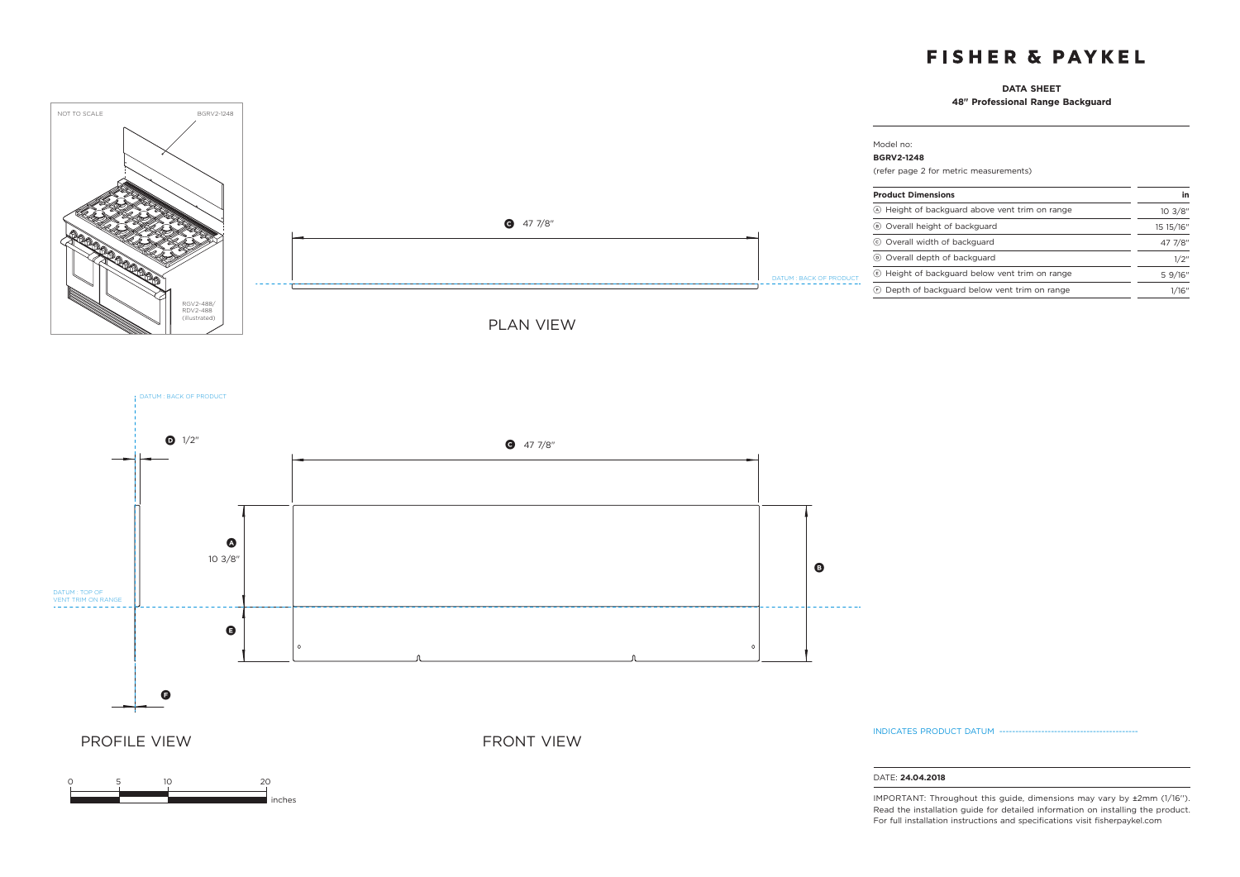# **FISHER & PAYKEL**

## **DATA SHEET**

**48" Professional Range Backguard**





0 5 10 20

DATUM : BACK OF PRODUCT

inches

INDICATES PRODUCT DATUM ------

### DATE: **24.04.2018**

IMPORTANT: Throughout this guide, dimensions may vary by ±2mm (1/16''). Read the installation guide for detailed information on installing the product. For full installation instructions and specifications visit fisherpaykel.com